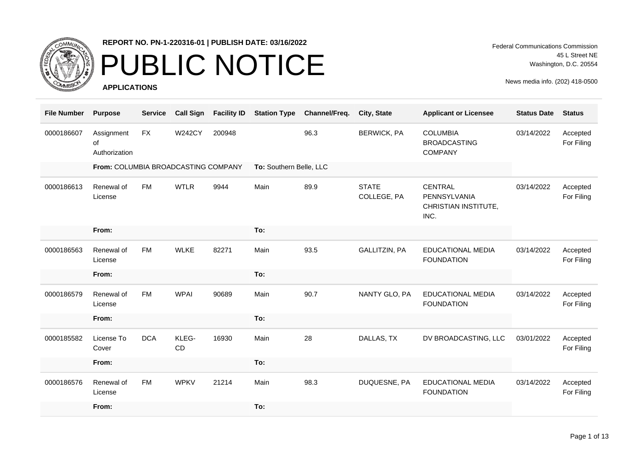

### PUBLIC NOTICE

**APPLICATIONS**

Federal Communications Commission 45 L Street NE Washington, D.C. 20554

| <b>File Number</b> | <b>Purpose</b>                      | <b>Service</b> | <b>Call Sign</b> | <b>Facility ID</b> | <b>Station Type</b>     | Channel/Freq. | City, State                 | <b>Applicant or Licensee</b>                             | <b>Status Date</b> | <b>Status</b>          |
|--------------------|-------------------------------------|----------------|------------------|--------------------|-------------------------|---------------|-----------------------------|----------------------------------------------------------|--------------------|------------------------|
| 0000186607         | Assignment<br>of<br>Authorization   | <b>FX</b>      | <b>W242CY</b>    | 200948             |                         | 96.3          | <b>BERWICK, PA</b>          | <b>COLUMBIA</b><br><b>BROADCASTING</b><br><b>COMPANY</b> | 03/14/2022         | Accepted<br>For Filing |
|                    | From: COLUMBIA BROADCASTING COMPANY |                |                  |                    | To: Southern Belle, LLC |               |                             |                                                          |                    |                        |
| 0000186613         | Renewal of<br>License               | <b>FM</b>      | <b>WTLR</b>      | 9944               | Main                    | 89.9          | <b>STATE</b><br>COLLEGE, PA | CENTRAL<br>PENNSYLVANIA<br>CHRISTIAN INSTITUTE,<br>INC.  | 03/14/2022         | Accepted<br>For Filing |
|                    | From:                               |                |                  |                    | To:                     |               |                             |                                                          |                    |                        |
| 0000186563         | Renewal of<br>License               | <b>FM</b>      | <b>WLKE</b>      | 82271              | Main                    | 93.5          | GALLITZIN, PA               | EDUCATIONAL MEDIA<br><b>FOUNDATION</b>                   | 03/14/2022         | Accepted<br>For Filing |
|                    | From:                               |                |                  |                    | To:                     |               |                             |                                                          |                    |                        |
| 0000186579         | Renewal of<br>License               | <b>FM</b>      | <b>WPAI</b>      | 90689              | Main                    | 90.7          | NANTY GLO, PA               | EDUCATIONAL MEDIA<br><b>FOUNDATION</b>                   | 03/14/2022         | Accepted<br>For Filing |
|                    | From:                               |                |                  |                    | To:                     |               |                             |                                                          |                    |                        |
| 0000185582         | License To<br>Cover                 | <b>DCA</b>     | KLEG-<br>CD      | 16930              | Main                    | 28            | DALLAS, TX                  | DV BROADCASTING, LLC                                     | 03/01/2022         | Accepted<br>For Filing |
|                    | From:                               |                |                  |                    | To:                     |               |                             |                                                          |                    |                        |
| 0000186576         | Renewal of<br>License               | <b>FM</b>      | <b>WPKV</b>      | 21214              | Main                    | 98.3          | DUQUESNE, PA                | EDUCATIONAL MEDIA<br><b>FOUNDATION</b>                   | 03/14/2022         | Accepted<br>For Filing |
|                    | From:                               |                |                  |                    | To:                     |               |                             |                                                          |                    |                        |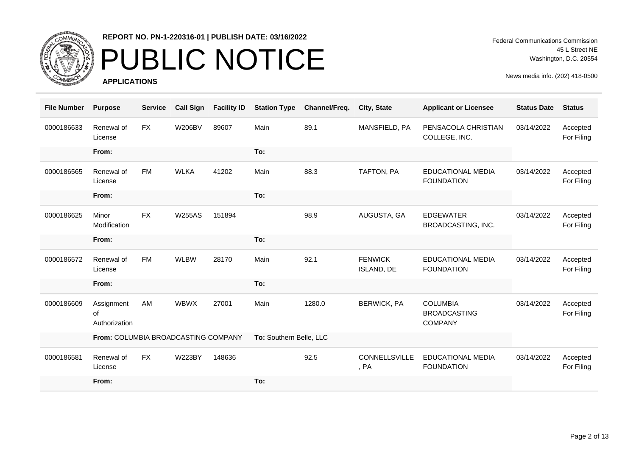

## PUBLIC NOTICE

**APPLICATIONS**

Federal Communications Commission 45 L Street NE Washington, D.C. 20554

| <b>File Number</b> | <b>Purpose</b>                      | <b>Service</b> | <b>Call Sign</b> | <b>Facility ID</b> | <b>Station Type</b>     | Channel/Freq. | City, State                  | <b>Applicant or Licensee</b>                             | <b>Status Date</b> | <b>Status</b>          |
|--------------------|-------------------------------------|----------------|------------------|--------------------|-------------------------|---------------|------------------------------|----------------------------------------------------------|--------------------|------------------------|
| 0000186633         | Renewal of<br>License               | <b>FX</b>      | <b>W206BV</b>    | 89607              | Main                    | 89.1          | MANSFIELD, PA                | PENSACOLA CHRISTIAN<br>COLLEGE, INC.                     | 03/14/2022         | Accepted<br>For Filing |
|                    | From:                               |                |                  |                    | To:                     |               |                              |                                                          |                    |                        |
| 0000186565         | Renewal of<br>License               | <b>FM</b>      | <b>WLKA</b>      | 41202              | Main                    | 88.3          | TAFTON, PA                   | <b>EDUCATIONAL MEDIA</b><br><b>FOUNDATION</b>            | 03/14/2022         | Accepted<br>For Filing |
|                    | From:                               |                |                  |                    | To:                     |               |                              |                                                          |                    |                        |
| 0000186625         | Minor<br>Modification               | <b>FX</b>      | <b>W255AS</b>    | 151894             |                         | 98.9          | AUGUSTA, GA                  | <b>EDGEWATER</b><br>BROADCASTING, INC.                   | 03/14/2022         | Accepted<br>For Filing |
|                    | From:                               |                |                  |                    | To:                     |               |                              |                                                          |                    |                        |
| 0000186572         | Renewal of<br>License               | <b>FM</b>      | <b>WLBW</b>      | 28170              | Main                    | 92.1          | <b>FENWICK</b><br>ISLAND, DE | <b>EDUCATIONAL MEDIA</b><br><b>FOUNDATION</b>            | 03/14/2022         | Accepted<br>For Filing |
|                    | From:                               |                |                  |                    | To:                     |               |                              |                                                          |                    |                        |
| 0000186609         | Assignment<br>of<br>Authorization   | AM             | <b>WBWX</b>      | 27001              | Main                    | 1280.0        | <b>BERWICK, PA</b>           | <b>COLUMBIA</b><br><b>BROADCASTING</b><br><b>COMPANY</b> | 03/14/2022         | Accepted<br>For Filing |
|                    | From: COLUMBIA BROADCASTING COMPANY |                |                  |                    | To: Southern Belle, LLC |               |                              |                                                          |                    |                        |
| 0000186581         | Renewal of<br>License               | <b>FX</b>      | <b>W223BY</b>    | 148636             |                         | 92.5          | <b>CONNELLSVILLE</b><br>, PA | <b>EDUCATIONAL MEDIA</b><br><b>FOUNDATION</b>            | 03/14/2022         | Accepted<br>For Filing |
|                    | From:                               |                |                  |                    | To:                     |               |                              |                                                          |                    |                        |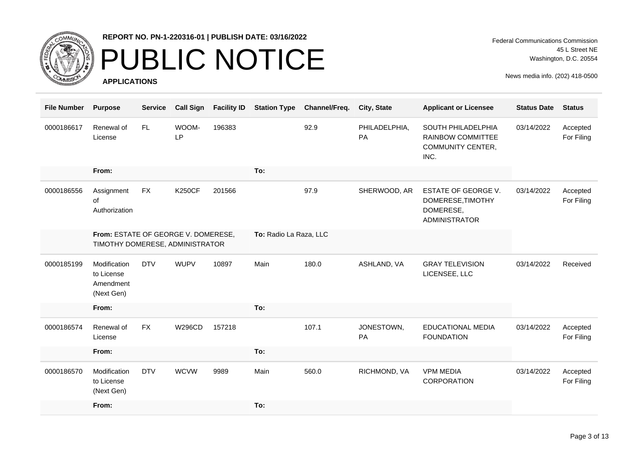

## PUBLIC NOTICE

**APPLICATIONS**

Federal Communications Commission 45 L Street NE Washington, D.C. 20554

| <b>File Number</b> | <b>Purpose</b>                                                         | <b>Service</b> | <b>Call Sign</b>   | <b>Facility ID</b> | <b>Station Type</b>    | Channel/Freq. | City, State         | <b>Applicant or Licensee</b>                                                  | <b>Status Date</b> | <b>Status</b>          |
|--------------------|------------------------------------------------------------------------|----------------|--------------------|--------------------|------------------------|---------------|---------------------|-------------------------------------------------------------------------------|--------------------|------------------------|
| 0000186617         | Renewal of<br>License                                                  | FL.            | WOOM-<br><b>LP</b> | 196383             |                        | 92.9          | PHILADELPHIA,<br>PA | SOUTH PHILADELPHIA<br>RAINBOW COMMITTEE<br><b>COMMUNITY CENTER,</b><br>INC.   | 03/14/2022         | Accepted<br>For Filing |
|                    | From:                                                                  |                |                    |                    | To:                    |               |                     |                                                                               |                    |                        |
| 0000186556         | Assignment<br>of<br>Authorization                                      | <b>FX</b>      | <b>K250CF</b>      | 201566             |                        | 97.9          | SHERWOOD, AR        | ESTATE OF GEORGE V.<br>DOMERESE, TIMOTHY<br>DOMERESE,<br><b>ADMINISTRATOR</b> | 03/14/2022         | Accepted<br>For Filing |
|                    | From: ESTATE OF GEORGE V. DOMERESE,<br>TIMOTHY DOMERESE, ADMINISTRATOR |                |                    |                    | To: Radio La Raza, LLC |               |                     |                                                                               |                    |                        |
| 0000185199         | Modification<br>to License<br>Amendment<br>(Next Gen)                  | <b>DTV</b>     | <b>WUPV</b>        | 10897              | Main                   | 180.0         | ASHLAND, VA         | <b>GRAY TELEVISION</b><br>LICENSEE, LLC                                       | 03/14/2022         | Received               |
|                    | From:                                                                  |                |                    |                    | To:                    |               |                     |                                                                               |                    |                        |
| 0000186574         | Renewal of<br>License                                                  | <b>FX</b>      | <b>W296CD</b>      | 157218             |                        | 107.1         | JONESTOWN,<br>PA    | <b>EDUCATIONAL MEDIA</b><br><b>FOUNDATION</b>                                 | 03/14/2022         | Accepted<br>For Filing |
|                    | From:                                                                  |                |                    |                    | To:                    |               |                     |                                                                               |                    |                        |
| 0000186570         | Modification<br>to License<br>(Next Gen)                               | <b>DTV</b>     | <b>WCVW</b>        | 9989               | Main                   | 560.0         | RICHMOND, VA        | <b>VPM MEDIA</b><br>CORPORATION                                               | 03/14/2022         | Accepted<br>For Filing |
|                    | From:                                                                  |                |                    |                    | To:                    |               |                     |                                                                               |                    |                        |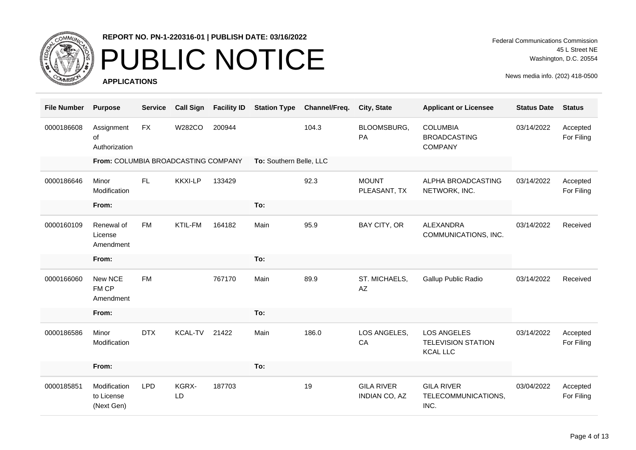

## PUBLIC NOTICE

**APPLICATIONS**

Federal Communications Commission 45 L Street NE Washington, D.C. 20554

| <b>File Number</b> | <b>Purpose</b>                           | <b>Service</b> | <b>Call Sign</b> | <b>Facility ID</b> | <b>Station Type</b>     | Channel/Freq. | City, State                               | <b>Applicant or Licensee</b>                                       | <b>Status Date</b> | <b>Status</b>          |
|--------------------|------------------------------------------|----------------|------------------|--------------------|-------------------------|---------------|-------------------------------------------|--------------------------------------------------------------------|--------------------|------------------------|
| 0000186608         | Assignment<br>of<br>Authorization        | <b>FX</b>      | <b>W282CO</b>    | 200944             |                         | 104.3         | BLOOMSBURG,<br><b>PA</b>                  | <b>COLUMBIA</b><br><b>BROADCASTING</b><br><b>COMPANY</b>           | 03/14/2022         | Accepted<br>For Filing |
|                    | From: COLUMBIA BROADCASTING COMPANY      |                |                  |                    | To: Southern Belle, LLC |               |                                           |                                                                    |                    |                        |
| 0000186646         | Minor<br>Modification                    | FL.            | <b>KKXI-LP</b>   | 133429             |                         | 92.3          | <b>MOUNT</b><br>PLEASANT, TX              | ALPHA BROADCASTING<br>NETWORK, INC.                                | 03/14/2022         | Accepted<br>For Filing |
|                    | From:                                    |                |                  |                    | To:                     |               |                                           |                                                                    |                    |                        |
| 0000160109         | Renewal of<br>License<br>Amendment       | <b>FM</b>      | <b>KTIL-FM</b>   | 164182             | Main                    | 95.9          | BAY CITY, OR                              | <b>ALEXANDRA</b><br>COMMUNICATIONS, INC.                           | 03/14/2022         | Received               |
|                    | From:                                    |                |                  |                    | To:                     |               |                                           |                                                                    |                    |                        |
| 0000166060         | New NCE<br>FM CP<br>Amendment            | <b>FM</b>      |                  | 767170             | Main                    | 89.9          | ST. MICHAELS,<br>$A\!Z$                   | Gallup Public Radio                                                | 03/14/2022         | Received               |
|                    | From:                                    |                |                  |                    | To:                     |               |                                           |                                                                    |                    |                        |
| 0000186586         | Minor<br>Modification                    | <b>DTX</b>     | <b>KCAL-TV</b>   | 21422              | Main                    | 186.0         | LOS ANGELES,<br>CA                        | <b>LOS ANGELES</b><br><b>TELEVISION STATION</b><br><b>KCAL LLC</b> | 03/14/2022         | Accepted<br>For Filing |
|                    | From:                                    |                |                  |                    | To:                     |               |                                           |                                                                    |                    |                        |
| 0000185851         | Modification<br>to License<br>(Next Gen) | <b>LPD</b>     | KGRX-<br>LD      | 187703             |                         | 19            | <b>GILA RIVER</b><br><b>INDIAN CO, AZ</b> | <b>GILA RIVER</b><br>TELECOMMUNICATIONS,<br>INC.                   | 03/04/2022         | Accepted<br>For Filing |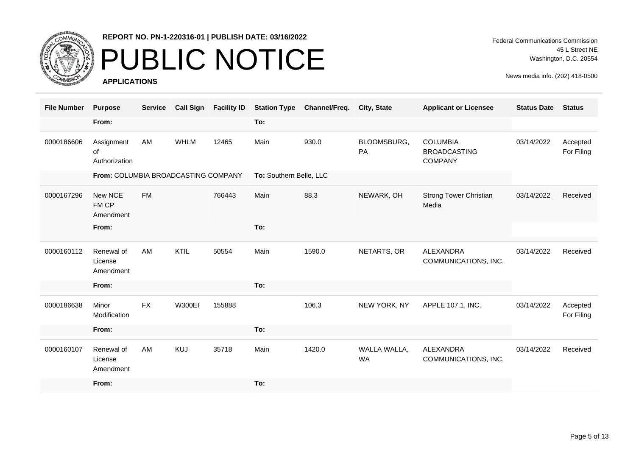

# PUBLIC NOTICE

**APPLICATIONS**

Federal Communications Commission 45 L Street NE Washington, D.C. 20554

| <b>File Number</b> | <b>Purpose</b>                      | <b>Service</b> | <b>Call Sign</b> | <b>Facility ID</b> | <b>Station Type</b>     | Channel/Freq. | City, State               | <b>Applicant or Licensee</b>                             | <b>Status Date</b> | <b>Status</b>          |
|--------------------|-------------------------------------|----------------|------------------|--------------------|-------------------------|---------------|---------------------------|----------------------------------------------------------|--------------------|------------------------|
|                    | From:                               |                |                  |                    | To:                     |               |                           |                                                          |                    |                        |
| 0000186606         | Assignment<br>of<br>Authorization   | AM             | <b>WHLM</b>      | 12465              | Main                    | 930.0         | BLOOMSBURG,<br>PA         | <b>COLUMBIA</b><br><b>BROADCASTING</b><br><b>COMPANY</b> | 03/14/2022         | Accepted<br>For Filing |
|                    | From: COLUMBIA BROADCASTING COMPANY |                |                  |                    | To: Southern Belle, LLC |               |                           |                                                          |                    |                        |
| 0000167296         | New NCE<br>FM CP<br>Amendment       | <b>FM</b>      |                  | 766443             | Main                    | 88.3          | NEWARK, OH                | Strong Tower Christian<br>Media                          | 03/14/2022         | Received               |
|                    | From:                               |                |                  |                    | To:                     |               |                           |                                                          |                    |                        |
| 0000160112         | Renewal of<br>License<br>Amendment  | AM             | KTIL             | 50554              | Main                    | 1590.0        | NETARTS, OR               | ALEXANDRA<br>COMMUNICATIONS, INC.                        | 03/14/2022         | Received               |
|                    | From:                               |                |                  |                    | To:                     |               |                           |                                                          |                    |                        |
| 0000186638         | Minor<br>Modification               | <b>FX</b>      | <b>W300EI</b>    | 155888             |                         | 106.3         | NEW YORK, NY              | APPLE 107.1, INC.                                        | 03/14/2022         | Accepted<br>For Filing |
|                    | From:                               |                |                  |                    | To:                     |               |                           |                                                          |                    |                        |
| 0000160107         | Renewal of<br>License<br>Amendment  | AM             | <b>KUJ</b>       | 35718              | Main                    | 1420.0        | WALLA WALLA,<br><b>WA</b> | ALEXANDRA<br>COMMUNICATIONS, INC.                        | 03/14/2022         | Received               |
|                    | From:                               |                |                  |                    | To:                     |               |                           |                                                          |                    |                        |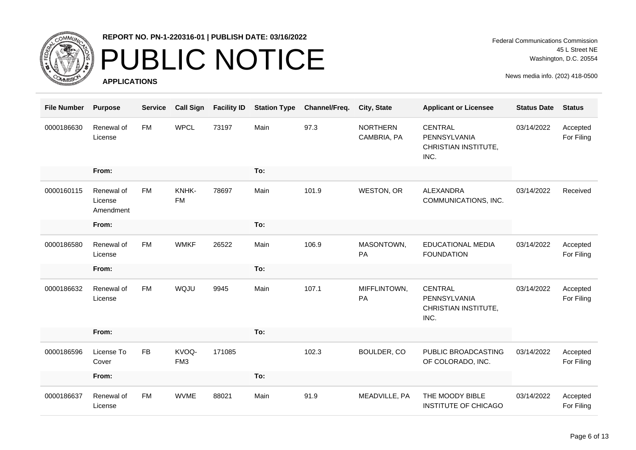

## PUBLIC NOTICE

**APPLICATIONS**

Federal Communications Commission 45 L Street NE Washington, D.C. 20554

| <b>File Number</b> | <b>Purpose</b>                     | <b>Service</b> | <b>Call Sign</b>         | <b>Facility ID</b> | <b>Station Type</b> | Channel/Freq. | City, State                    | <b>Applicant or Licensee</b>                                   | <b>Status Date</b> | <b>Status</b>          |
|--------------------|------------------------------------|----------------|--------------------------|--------------------|---------------------|---------------|--------------------------------|----------------------------------------------------------------|--------------------|------------------------|
| 0000186630         | Renewal of<br>License              | <b>FM</b>      | <b>WPCL</b>              | 73197              | Main                | 97.3          | <b>NORTHERN</b><br>CAMBRIA, PA | CENTRAL<br>PENNSYLVANIA<br>CHRISTIAN INSTITUTE,<br>INC.        | 03/14/2022         | Accepted<br>For Filing |
|                    | From:                              |                |                          |                    | To:                 |               |                                |                                                                |                    |                        |
| 0000160115         | Renewal of<br>License<br>Amendment | <b>FM</b>      | KNHK-<br><b>FM</b>       | 78697              | Main                | 101.9         | <b>WESTON, OR</b>              | ALEXANDRA<br>COMMUNICATIONS, INC.                              | 03/14/2022         | Received               |
|                    | From:                              |                |                          |                    | To:                 |               |                                |                                                                |                    |                        |
| 0000186580         | Renewal of<br>License              | <b>FM</b>      | <b>WMKF</b>              | 26522              | Main                | 106.9         | MASONTOWN,<br>PA               | EDUCATIONAL MEDIA<br><b>FOUNDATION</b>                         | 03/14/2022         | Accepted<br>For Filing |
|                    | From:                              |                |                          |                    | To:                 |               |                                |                                                                |                    |                        |
| 0000186632         | Renewal of<br>License              | <b>FM</b>      | WQJU                     | 9945               | Main                | 107.1         | MIFFLINTOWN,<br>PA             | <b>CENTRAL</b><br>PENNSYLVANIA<br>CHRISTIAN INSTITUTE,<br>INC. | 03/14/2022         | Accepted<br>For Filing |
|                    | From:                              |                |                          |                    | To:                 |               |                                |                                                                |                    |                        |
| 0000186596         | License To<br>Cover                | <b>FB</b>      | KVOQ-<br>FM <sub>3</sub> | 171085             |                     | 102.3         | BOULDER, CO                    | PUBLIC BROADCASTING<br>OF COLORADO, INC.                       | 03/14/2022         | Accepted<br>For Filing |
|                    | From:                              |                |                          |                    | To:                 |               |                                |                                                                |                    |                        |
| 0000186637         | Renewal of<br>License              | <b>FM</b>      | <b>WVME</b>              | 88021              | Main                | 91.9          | MEADVILLE, PA                  | THE MOODY BIBLE<br>INSTITUTE OF CHICAGO                        | 03/14/2022         | Accepted<br>For Filing |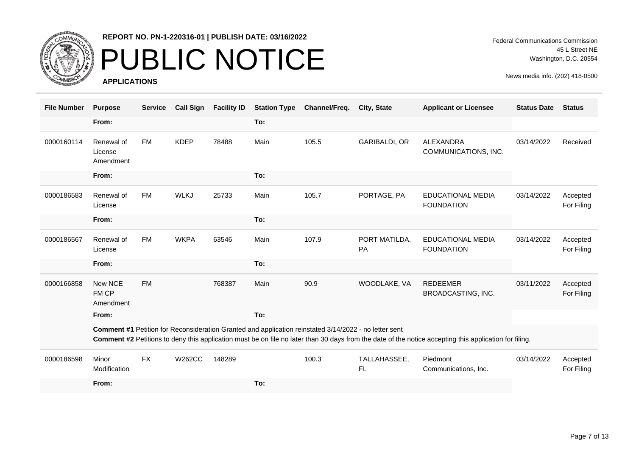

## PUBLIC NOTICE

**APPLICATIONS**

Federal Communications Commission 45 L Street NE Washington, D.C. 20554

| <b>File Number</b> | <b>Purpose</b>                     | <b>Service</b> | <b>Call Sign</b> | <b>Facility ID</b> | <b>Station Type</b> | Channel/Freq.                                                                                         | <b>City, State</b>         | <b>Applicant or Licensee</b>                                                                                                                           | <b>Status Date</b> | <b>Status</b>          |
|--------------------|------------------------------------|----------------|------------------|--------------------|---------------------|-------------------------------------------------------------------------------------------------------|----------------------------|--------------------------------------------------------------------------------------------------------------------------------------------------------|--------------------|------------------------|
|                    | From:                              |                |                  |                    | To:                 |                                                                                                       |                            |                                                                                                                                                        |                    |                        |
| 0000160114         | Renewal of<br>License<br>Amendment | <b>FM</b>      | <b>KDEP</b>      | 78488              | Main                | 105.5                                                                                                 | <b>GARIBALDI, OR</b>       | ALEXANDRA<br>COMMUNICATIONS, INC.                                                                                                                      | 03/14/2022         | Received               |
|                    | From:                              |                |                  |                    | To:                 |                                                                                                       |                            |                                                                                                                                                        |                    |                        |
| 0000186583         | Renewal of<br>License              | <b>FM</b>      | <b>WLKJ</b>      | 25733              | Main                | 105.7                                                                                                 | PORTAGE, PA                | <b>EDUCATIONAL MEDIA</b><br><b>FOUNDATION</b>                                                                                                          | 03/14/2022         | Accepted<br>For Filing |
|                    | From:                              |                |                  |                    | To:                 |                                                                                                       |                            |                                                                                                                                                        |                    |                        |
| 0000186567         | Renewal of<br>License              | <b>FM</b>      | <b>WKPA</b>      | 63546              | Main                | 107.9                                                                                                 | PORT MATILDA,<br><b>PA</b> | <b>EDUCATIONAL MEDIA</b><br><b>FOUNDATION</b>                                                                                                          | 03/14/2022         | Accepted<br>For Filing |
|                    | From:                              |                |                  |                    | To:                 |                                                                                                       |                            |                                                                                                                                                        |                    |                        |
| 0000166858         | New NCE<br>FM CP<br>Amendment      | <b>FM</b>      |                  | 768387             | Main                | 90.9                                                                                                  | WOODLAKE, VA               | <b>REDEEMER</b><br>BROADCASTING, INC.                                                                                                                  | 03/11/2022         | Accepted<br>For Filing |
|                    | From:                              |                |                  |                    | To:                 |                                                                                                       |                            |                                                                                                                                                        |                    |                        |
|                    |                                    |                |                  |                    |                     | Comment #1 Petition for Reconsideration Granted and application reinstated 3/14/2022 - no letter sent |                            | Comment #2 Petitions to deny this application must be on file no later than 30 days from the date of the notice accepting this application for filing. |                    |                        |
| 0000186598         | Minor<br>Modification              | <b>FX</b>      | <b>W262CC</b>    | 148289             |                     | 100.3                                                                                                 | TALLAHASSEE,<br>FL.        | Piedmont<br>Communications, Inc.                                                                                                                       | 03/14/2022         | Accepted<br>For Filing |
|                    | From:                              |                |                  |                    | To:                 |                                                                                                       |                            |                                                                                                                                                        |                    |                        |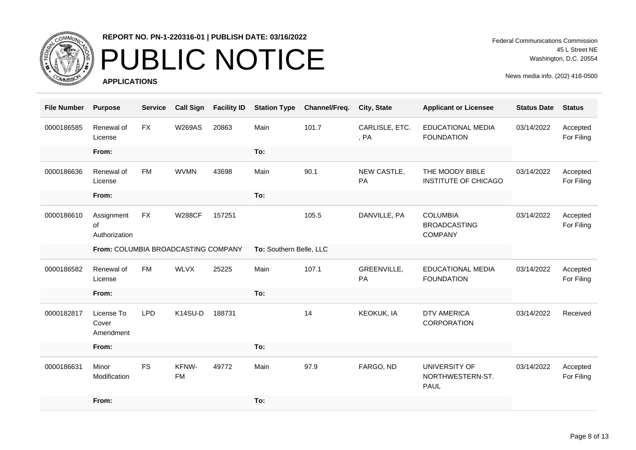

# PUBLIC NOTICE

**APPLICATIONS**

Federal Communications Commission 45 L Street NE Washington, D.C. 20554

| <b>File Number</b> | <b>Purpose</b>                      | <b>Service</b> | <b>Call Sign</b>   | <b>Facility ID</b> | <b>Station Type</b>     | Channel/Freq. | City, State            | <b>Applicant or Licensee</b>                             | <b>Status Date</b> | <b>Status</b>          |
|--------------------|-------------------------------------|----------------|--------------------|--------------------|-------------------------|---------------|------------------------|----------------------------------------------------------|--------------------|------------------------|
| 0000186585         | Renewal of<br>License               | <b>FX</b>      | <b>W269AS</b>      | 20863              | Main                    | 101.7         | CARLISLE, ETC.<br>, PA | <b>EDUCATIONAL MEDIA</b><br><b>FOUNDATION</b>            | 03/14/2022         | Accepted<br>For Filing |
|                    | From:                               |                |                    |                    | To:                     |               |                        |                                                          |                    |                        |
| 0000186636         | Renewal of<br>License               | <b>FM</b>      | <b>WVMN</b>        | 43698              | Main                    | 90.1          | NEW CASTLE,<br>PA      | THE MOODY BIBLE<br><b>INSTITUTE OF CHICAGO</b>           | 03/14/2022         | Accepted<br>For Filing |
|                    | From:                               |                |                    |                    | To:                     |               |                        |                                                          |                    |                        |
| 0000186610         | Assignment<br>of<br>Authorization   | <b>FX</b>      | <b>W288CF</b>      | 157251             |                         | 105.5         | DANVILLE, PA           | <b>COLUMBIA</b><br><b>BROADCASTING</b><br><b>COMPANY</b> | 03/14/2022         | Accepted<br>For Filing |
|                    | From: COLUMBIA BROADCASTING COMPANY |                |                    |                    | To: Southern Belle, LLC |               |                        |                                                          |                    |                        |
| 0000186582         | Renewal of<br>License               | <b>FM</b>      | <b>WLVX</b>        | 25225              | Main                    | 107.1         | GREENVILLE,<br>PA      | <b>EDUCATIONAL MEDIA</b><br><b>FOUNDATION</b>            | 03/14/2022         | Accepted<br>For Filing |
|                    | From:                               |                |                    |                    | To:                     |               |                        |                                                          |                    |                        |
| 0000182817         | License To<br>Cover<br>Amendment    | <b>LPD</b>     | K14SU-D            | 188731             |                         | 14            | <b>KEOKUK, IA</b>      | <b>DTV AMERICA</b><br>CORPORATION                        | 03/14/2022         | Received               |
|                    | From:                               |                |                    |                    | To:                     |               |                        |                                                          |                    |                        |
| 0000186631         | Minor<br>Modification               | <b>FS</b>      | KFNW-<br><b>FM</b> | 49772              | Main                    | 97.9          | FARGO, ND              | UNIVERSITY OF<br>NORTHWESTERN-ST.<br><b>PAUL</b>         | 03/14/2022         | Accepted<br>For Filing |
|                    | From:                               |                |                    |                    | To:                     |               |                        |                                                          |                    |                        |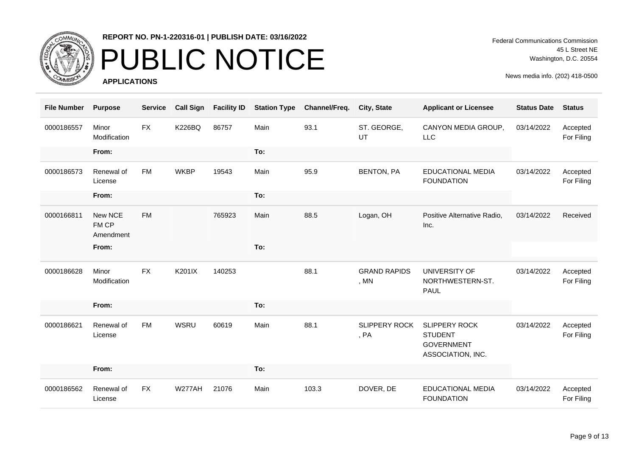

# PUBLIC NOTICE

**APPLICATIONS**

Federal Communications Commission 45 L Street NE Washington, D.C. 20554

| <b>File Number</b> | <b>Purpose</b>                | <b>Service</b> | <b>Call Sign</b> | <b>Facility ID</b> | <b>Station Type</b> | Channel/Freq. | City, State                   | <b>Applicant or Licensee</b>                                                     | <b>Status Date</b> | <b>Status</b>          |
|--------------------|-------------------------------|----------------|------------------|--------------------|---------------------|---------------|-------------------------------|----------------------------------------------------------------------------------|--------------------|------------------------|
| 0000186557         | Minor<br>Modification         | <b>FX</b>      | <b>K226BQ</b>    | 86757              | Main                | 93.1          | ST. GEORGE,<br>UT             | CANYON MEDIA GROUP,<br><b>LLC</b>                                                | 03/14/2022         | Accepted<br>For Filing |
|                    | From:                         |                |                  |                    | To:                 |               |                               |                                                                                  |                    |                        |
| 0000186573         | Renewal of<br>License         | <b>FM</b>      | <b>WKBP</b>      | 19543              | Main                | 95.9          | <b>BENTON, PA</b>             | <b>EDUCATIONAL MEDIA</b><br><b>FOUNDATION</b>                                    | 03/14/2022         | Accepted<br>For Filing |
|                    | From:                         |                |                  |                    | To:                 |               |                               |                                                                                  |                    |                        |
| 0000166811         | New NCE<br>FM CP<br>Amendment | <b>FM</b>      |                  | 765923             | Main                | 88.5          | Logan, OH                     | Positive Alternative Radio,<br>Inc.                                              | 03/14/2022         | Received               |
|                    | From:                         |                |                  |                    | To:                 |               |                               |                                                                                  |                    |                        |
| 0000186628         | Minor<br>Modification         | <b>FX</b>      | K201IX           | 140253             |                     | 88.1          | <b>GRAND RAPIDS</b><br>, $MN$ | UNIVERSITY OF<br>NORTHWESTERN-ST.<br><b>PAUL</b>                                 | 03/14/2022         | Accepted<br>For Filing |
|                    | From:                         |                |                  |                    | To:                 |               |                               |                                                                                  |                    |                        |
| 0000186621         | Renewal of<br>License         | <b>FM</b>      | <b>WSRU</b>      | 60619              | Main                | 88.1          | <b>SLIPPERY ROCK</b><br>, PA  | <b>SLIPPERY ROCK</b><br><b>STUDENT</b><br><b>GOVERNMENT</b><br>ASSOCIATION, INC. | 03/14/2022         | Accepted<br>For Filing |
|                    | From:                         |                |                  |                    | To:                 |               |                               |                                                                                  |                    |                        |
| 0000186562         | Renewal of<br>License         | <b>FX</b>      | <b>W277AH</b>    | 21076              | Main                | 103.3         | DOVER, DE                     | <b>EDUCATIONAL MEDIA</b><br><b>FOUNDATION</b>                                    | 03/14/2022         | Accepted<br>For Filing |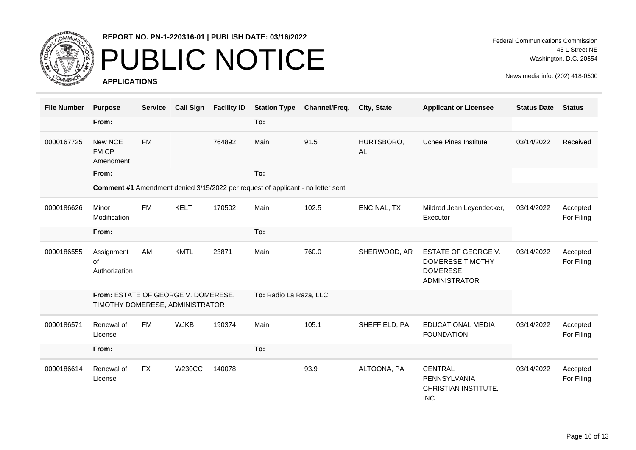

# PUBLIC NOTICE

**APPLICATIONS**

Federal Communications Commission 45 L Street NE Washington, D.C. 20554

| <b>File Number</b> | <b>Purpose</b>                                                         | <b>Service</b> | <b>Call Sign</b> | <b>Facility ID</b> | <b>Station Type</b>                                                                    | Channel/Freq. | City, State             | <b>Applicant or Licensee</b>                                                         | <b>Status Date</b> | <b>Status</b>          |
|--------------------|------------------------------------------------------------------------|----------------|------------------|--------------------|----------------------------------------------------------------------------------------|---------------|-------------------------|--------------------------------------------------------------------------------------|--------------------|------------------------|
|                    | From:                                                                  |                |                  |                    | To:                                                                                    |               |                         |                                                                                      |                    |                        |
| 0000167725         | New NCE<br>FM CP<br>Amendment                                          | <b>FM</b>      |                  | 764892             | Main                                                                                   | 91.5          | HURTSBORO,<br><b>AL</b> | Uchee Pines Institute                                                                | 03/14/2022         | Received               |
|                    | From:                                                                  |                |                  |                    | To:                                                                                    |               |                         |                                                                                      |                    |                        |
|                    |                                                                        |                |                  |                    | <b>Comment #1</b> Amendment denied 3/15/2022 per request of applicant - no letter sent |               |                         |                                                                                      |                    |                        |
| 0000186626         | Minor<br>Modification                                                  | <b>FM</b>      | <b>KELT</b>      | 170502             | Main                                                                                   | 102.5         | <b>ENCINAL, TX</b>      | Mildred Jean Leyendecker,<br>Executor                                                | 03/14/2022         | Accepted<br>For Filing |
|                    | From:                                                                  |                |                  |                    | To:                                                                                    |               |                         |                                                                                      |                    |                        |
| 0000186555         | Assignment<br>0f<br>Authorization                                      | AM             | <b>KMTL</b>      | 23871              | Main                                                                                   | 760.0         | SHERWOOD, AR            | <b>ESTATE OF GEORGE V.</b><br>DOMERESE, TIMOTHY<br>DOMERESE,<br><b>ADMINISTRATOR</b> | 03/14/2022         | Accepted<br>For Filing |
|                    | From: ESTATE OF GEORGE V. DOMERESE,<br>TIMOTHY DOMERESE, ADMINISTRATOR |                |                  |                    | To: Radio La Raza, LLC                                                                 |               |                         |                                                                                      |                    |                        |
| 0000186571         | Renewal of<br>License                                                  | <b>FM</b>      | <b>WJKB</b>      | 190374             | Main                                                                                   | 105.1         | SHEFFIELD, PA           | <b>EDUCATIONAL MEDIA</b><br><b>FOUNDATION</b>                                        | 03/14/2022         | Accepted<br>For Filing |
|                    | From:                                                                  |                |                  |                    | To:                                                                                    |               |                         |                                                                                      |                    |                        |
| 0000186614         | Renewal of<br>License                                                  | <b>FX</b>      | <b>W230CC</b>    | 140078             |                                                                                        | 93.9          | ALTOONA, PA             | <b>CENTRAL</b><br>PENNSYLVANIA<br>CHRISTIAN INSTITUTE,<br>INC.                       | 03/14/2022         | Accepted<br>For Filing |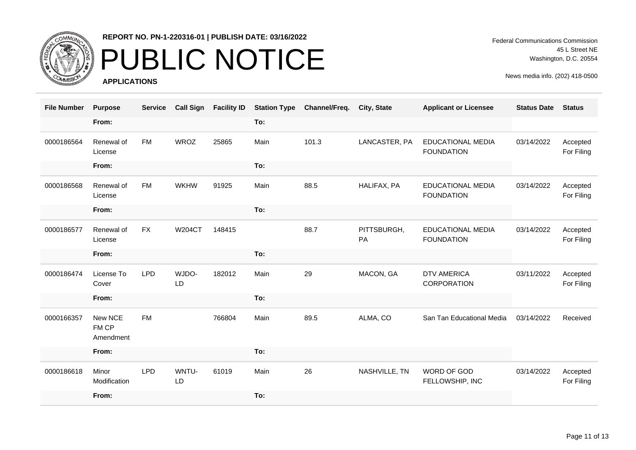

### PUBLIC NOTICE

**APPLICATIONS**

Federal Communications Commission 45 L Street NE Washington, D.C. 20554

| <b>File Number</b> | <b>Purpose</b>                | <b>Service</b> | <b>Call Sign</b> | <b>Facility ID</b> | <b>Station Type</b> | Channel/Freq. | City, State       | <b>Applicant or Licensee</b>                  | <b>Status Date</b> | <b>Status</b>          |
|--------------------|-------------------------------|----------------|------------------|--------------------|---------------------|---------------|-------------------|-----------------------------------------------|--------------------|------------------------|
|                    | From:                         |                |                  |                    | To:                 |               |                   |                                               |                    |                        |
| 0000186564         | Renewal of<br>License         | <b>FM</b>      | <b>WROZ</b>      | 25865              | Main                | 101.3         | LANCASTER, PA     | <b>EDUCATIONAL MEDIA</b><br><b>FOUNDATION</b> | 03/14/2022         | Accepted<br>For Filing |
|                    | From:                         |                |                  |                    | To:                 |               |                   |                                               |                    |                        |
| 0000186568         | Renewal of<br>License         | <b>FM</b>      | <b>WKHW</b>      | 91925              | Main                | 88.5          | HALIFAX, PA       | <b>EDUCATIONAL MEDIA</b><br><b>FOUNDATION</b> | 03/14/2022         | Accepted<br>For Filing |
|                    | From:                         |                |                  |                    | To:                 |               |                   |                                               |                    |                        |
| 0000186577         | Renewal of<br>License         | <b>FX</b>      | <b>W204CT</b>    | 148415             |                     | 88.7          | PITTSBURGH,<br>PA | <b>EDUCATIONAL MEDIA</b><br><b>FOUNDATION</b> | 03/14/2022         | Accepted<br>For Filing |
|                    | From:                         |                |                  |                    | To:                 |               |                   |                                               |                    |                        |
| 0000186474         | License To<br>Cover           | <b>LPD</b>     | WJDO-<br>LD      | 182012             | Main                | 29            | MACON, GA         | <b>DTV AMERICA</b><br>CORPORATION             | 03/11/2022         | Accepted<br>For Filing |
|                    | From:                         |                |                  |                    | To:                 |               |                   |                                               |                    |                        |
| 0000166357         | New NCE<br>FM CP<br>Amendment | <b>FM</b>      |                  | 766804             | Main                | 89.5          | ALMA, CO          | San Tan Educational Media                     | 03/14/2022         | Received               |
|                    | From:                         |                |                  |                    | To:                 |               |                   |                                               |                    |                        |
| 0000186618         | Minor<br>Modification         | <b>LPD</b>     | WNTU-<br>LD      | 61019              | Main                | 26            | NASHVILLE, TN     | WORD OF GOD<br>FELLOWSHIP, INC                | 03/14/2022         | Accepted<br>For Filing |
|                    | From:                         |                |                  |                    | To:                 |               |                   |                                               |                    |                        |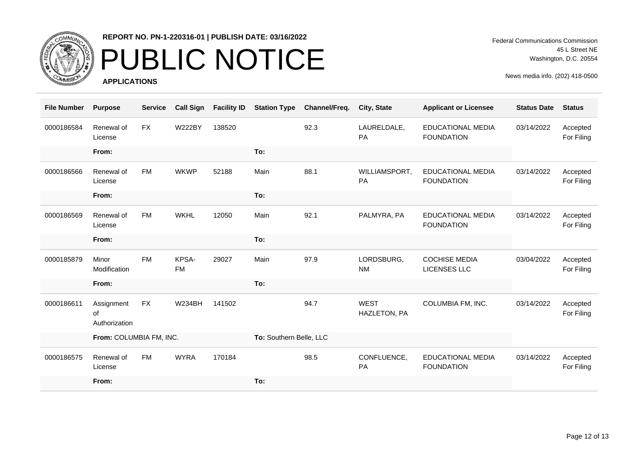

# PUBLIC NOTICE

**APPLICATIONS**

Federal Communications Commission 45 L Street NE Washington, D.C. 20554

| <b>File Number</b> | <b>Purpose</b>                    | <b>Service</b> | <b>Call Sign</b>   | <b>Facility ID</b> | <b>Station Type</b>     | Channel/Freq. | City, State                 | <b>Applicant or Licensee</b>                  | <b>Status Date</b> | <b>Status</b>          |
|--------------------|-----------------------------------|----------------|--------------------|--------------------|-------------------------|---------------|-----------------------------|-----------------------------------------------|--------------------|------------------------|
| 0000186584         | Renewal of<br>License             | <b>FX</b>      | <b>W222BY</b>      | 138520             |                         | 92.3          | LAURELDALE,<br>PA           | EDUCATIONAL MEDIA<br><b>FOUNDATION</b>        | 03/14/2022         | Accepted<br>For Filing |
|                    | From:                             |                |                    |                    | To:                     |               |                             |                                               |                    |                        |
| 0000186566         | Renewal of<br>License             | <b>FM</b>      | <b>WKWP</b>        | 52188              | Main                    | 88.1          | WILLIAMSPORT,<br>PA         | <b>EDUCATIONAL MEDIA</b><br><b>FOUNDATION</b> | 03/14/2022         | Accepted<br>For Filing |
|                    | From:                             |                |                    |                    | To:                     |               |                             |                                               |                    |                        |
| 0000186569         | Renewal of<br>License             | <b>FM</b>      | <b>WKHL</b>        | 12050              | Main                    | 92.1          | PALMYRA, PA                 | <b>EDUCATIONAL MEDIA</b><br><b>FOUNDATION</b> | 03/14/2022         | Accepted<br>For Filing |
|                    | From:                             |                |                    |                    | To:                     |               |                             |                                               |                    |                        |
| 0000185879         | Minor<br>Modification             | <b>FM</b>      | KPSA-<br><b>FM</b> | 29027              | Main                    | 97.9          | LORDSBURG,<br><b>NM</b>     | <b>COCHISE MEDIA</b><br><b>LICENSES LLC</b>   | 03/04/2022         | Accepted<br>For Filing |
|                    | From:                             |                |                    |                    | To:                     |               |                             |                                               |                    |                        |
| 0000186611         | Assignment<br>of<br>Authorization | <b>FX</b>      | <b>W234BH</b>      | 141502             |                         | 94.7          | <b>WEST</b><br>HAZLETON, PA | COLUMBIA FM, INC.                             | 03/14/2022         | Accepted<br>For Filing |
|                    | From: COLUMBIA FM, INC.           |                |                    |                    | To: Southern Belle, LLC |               |                             |                                               |                    |                        |
| 0000186575         | Renewal of<br>License             | <b>FM</b>      | <b>WYRA</b>        | 170184             |                         | 98.5          | CONFLUENCE,<br>PA           | <b>EDUCATIONAL MEDIA</b><br><b>FOUNDATION</b> | 03/14/2022         | Accepted<br>For Filing |
|                    | From:                             |                |                    |                    | To:                     |               |                             |                                               |                    |                        |